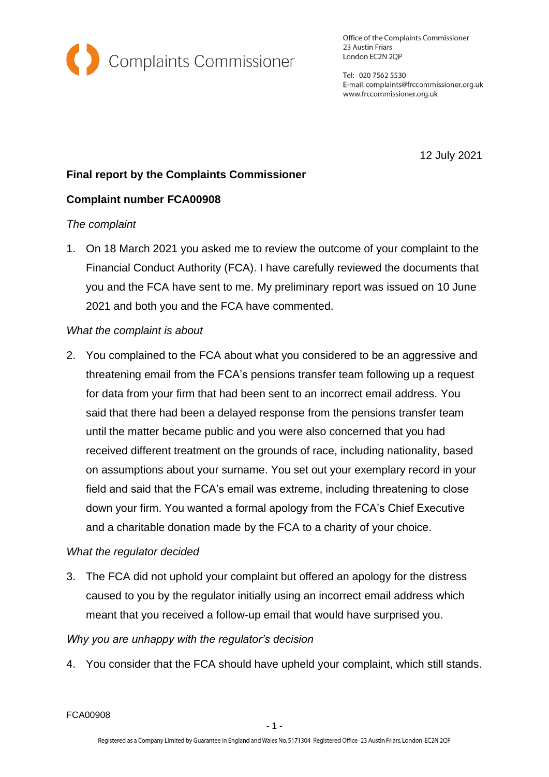

Office of the Complaints Commissioner 23 Austin Friars London EC2N 2QP

Tel: 020 7562 5530 E-mail: complaints@frccommissioner.org.uk www.frccommissioner.org.uk

12 July 2021

# **Final report by the Complaints Commissioner**

## **Complaint number FCA00908**

### *The complaint*

1. On 18 March 2021 you asked me to review the outcome of your complaint to the Financial Conduct Authority (FCA). I have carefully reviewed the documents that you and the FCA have sent to me. My preliminary report was issued on 10 June 2021 and both you and the FCA have commented.

### *What the complaint is about*

2. You complained to the FCA about what you considered to be an aggressive and threatening email from the FCA's pensions transfer team following up a request for data from your firm that had been sent to an incorrect email address. You said that there had been a delayed response from the pensions transfer team until the matter became public and you were also concerned that you had received different treatment on the grounds of race, including nationality, based on assumptions about your surname. You set out your exemplary record in your field and said that the FCA's email was extreme, including threatening to close down your firm. You wanted a formal apology from the FCA's Chief Executive and a charitable donation made by the FCA to a charity of your choice.

#### *What the regulator decided*

3. The FCA did not uphold your complaint but offered an apology for the distress caused to you by the regulator initially using an incorrect email address which meant that you received a follow-up email that would have surprised you.

## *Why you are unhappy with the regulator's decision*

4. You consider that the FCA should have upheld your complaint, which still stands.

FCA00908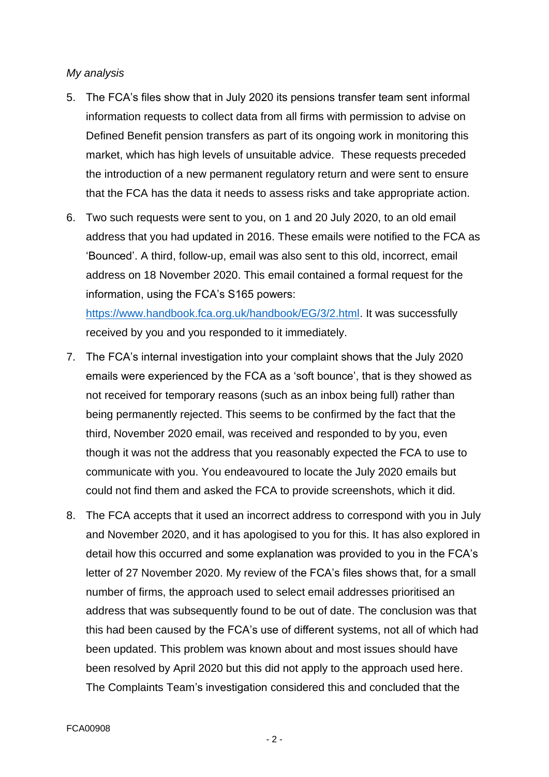#### *My analysis*

- 5. The FCA's files show that in July 2020 its pensions transfer team sent informal information requests to collect data from all firms with permission to advise on Defined Benefit pension transfers as part of its ongoing work in monitoring this market, which has high levels of unsuitable advice. These requests preceded the introduction of a new permanent regulatory return and were sent to ensure that the FCA has the data it needs to assess risks and take appropriate action.
- 6. Two such requests were sent to you, on 1 and 20 July 2020, to an old email address that you had updated in 2016. These emails were notified to the FCA as 'Bounced'. A third, follow-up, email was also sent to this old, incorrect, email address on 18 November 2020. This email contained a formal request for the information, using the FCA's S165 powers: [https://www.handbook.fca.org.uk/handbook/EG/3/2.html.](https://www.handbook.fca.org.uk/handbook/EG/3/2.html) It was successfully

received by you and you responded to it immediately.

- 7. The FCA's internal investigation into your complaint shows that the July 2020 emails were experienced by the FCA as a 'soft bounce', that is they showed as not received for temporary reasons (such as an inbox being full) rather than being permanently rejected. This seems to be confirmed by the fact that the third, November 2020 email, was received and responded to by you, even though it was not the address that you reasonably expected the FCA to use to communicate with you. You endeavoured to locate the July 2020 emails but could not find them and asked the FCA to provide screenshots, which it did.
- 8. The FCA accepts that it used an incorrect address to correspond with you in July and November 2020, and it has apologised to you for this. It has also explored in detail how this occurred and some explanation was provided to you in the FCA's letter of 27 November 2020. My review of the FCA's files shows that, for a small number of firms, the approach used to select email addresses prioritised an address that was subsequently found to be out of date. The conclusion was that this had been caused by the FCA's use of different systems, not all of which had been updated. This problem was known about and most issues should have been resolved by April 2020 but this did not apply to the approach used here. The Complaints Team's investigation considered this and concluded that the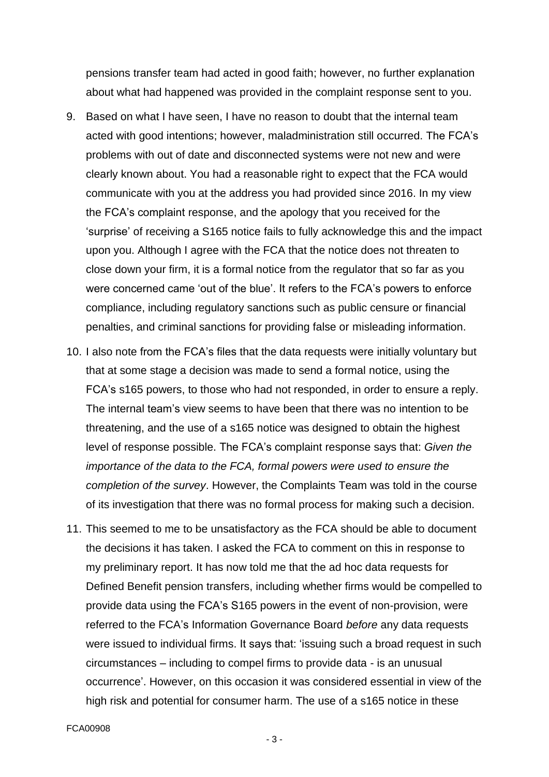pensions transfer team had acted in good faith; however, no further explanation about what had happened was provided in the complaint response sent to you.

- 9. Based on what I have seen, I have no reason to doubt that the internal team acted with good intentions; however, maladministration still occurred. The FCA's problems with out of date and disconnected systems were not new and were clearly known about. You had a reasonable right to expect that the FCA would communicate with you at the address you had provided since 2016. In my view the FCA's complaint response, and the apology that you received for the 'surprise' of receiving a S165 notice fails to fully acknowledge this and the impact upon you. Although I agree with the FCA that the notice does not threaten to close down your firm, it is a formal notice from the regulator that so far as you were concerned came 'out of the blue'. It refers to the FCA's powers to enforce compliance, including regulatory sanctions such as public censure or financial penalties, and criminal sanctions for providing false or misleading information.
- 10. I also note from the FCA's files that the data requests were initially voluntary but that at some stage a decision was made to send a formal notice, using the FCA's s165 powers, to those who had not responded, in order to ensure a reply. The internal team's view seems to have been that there was no intention to be threatening, and the use of a s165 notice was designed to obtain the highest level of response possible. The FCA's complaint response says that: *Given the importance of the data to the FCA, formal powers were used to ensure the completion of the survey*. However, the Complaints Team was told in the course of its investigation that there was no formal process for making such a decision.
- 11. This seemed to me to be unsatisfactory as the FCA should be able to document the decisions it has taken. I asked the FCA to comment on this in response to my preliminary report. It has now told me that the ad hoc data requests for Defined Benefit pension transfers, including whether firms would be compelled to provide data using the FCA's S165 powers in the event of non-provision, were referred to the FCA's Information Governance Board *before* any data requests were issued to individual firms. It says that: 'issuing such a broad request in such circumstances – including to compel firms to provide data - is an unusual occurrence'. However, on this occasion it was considered essential in view of the high risk and potential for consumer harm. The use of a s165 notice in these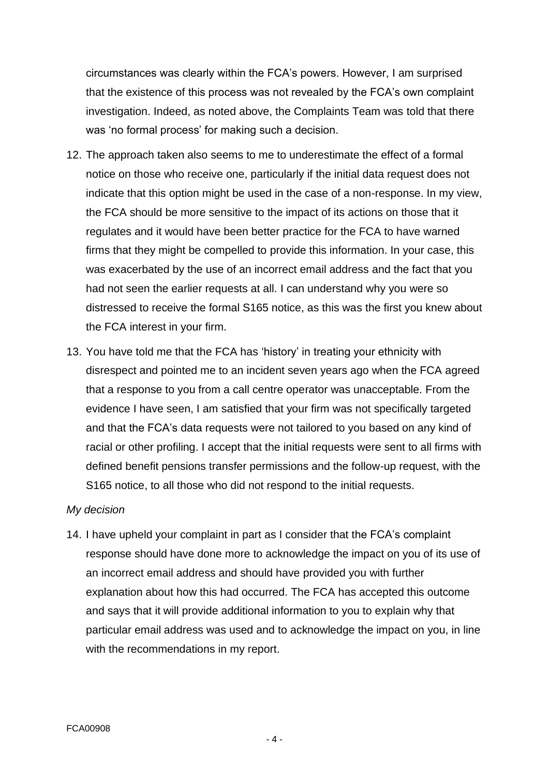circumstances was clearly within the FCA's powers. However, I am surprised that the existence of this process was not revealed by the FCA's own complaint investigation. Indeed, as noted above, the Complaints Team was told that there was 'no formal process' for making such a decision.

- 12. The approach taken also seems to me to underestimate the effect of a formal notice on those who receive one, particularly if the initial data request does not indicate that this option might be used in the case of a non-response. In my view, the FCA should be more sensitive to the impact of its actions on those that it regulates and it would have been better practice for the FCA to have warned firms that they might be compelled to provide this information. In your case, this was exacerbated by the use of an incorrect email address and the fact that you had not seen the earlier requests at all. I can understand why you were so distressed to receive the formal S165 notice, as this was the first you knew about the FCA interest in your firm.
- 13. You have told me that the FCA has 'history' in treating your ethnicity with disrespect and pointed me to an incident seven years ago when the FCA agreed that a response to you from a call centre operator was unacceptable. From the evidence I have seen, I am satisfied that your firm was not specifically targeted and that the FCA's data requests were not tailored to you based on any kind of racial or other profiling. I accept that the initial requests were sent to all firms with defined benefit pensions transfer permissions and the follow-up request, with the S165 notice, to all those who did not respond to the initial requests.

#### *My decision*

14. I have upheld your complaint in part as I consider that the FCA's complaint response should have done more to acknowledge the impact on you of its use of an incorrect email address and should have provided you with further explanation about how this had occurred. The FCA has accepted this outcome and says that it will provide additional information to you to explain why that particular email address was used and to acknowledge the impact on you, in line with the recommendations in my report.